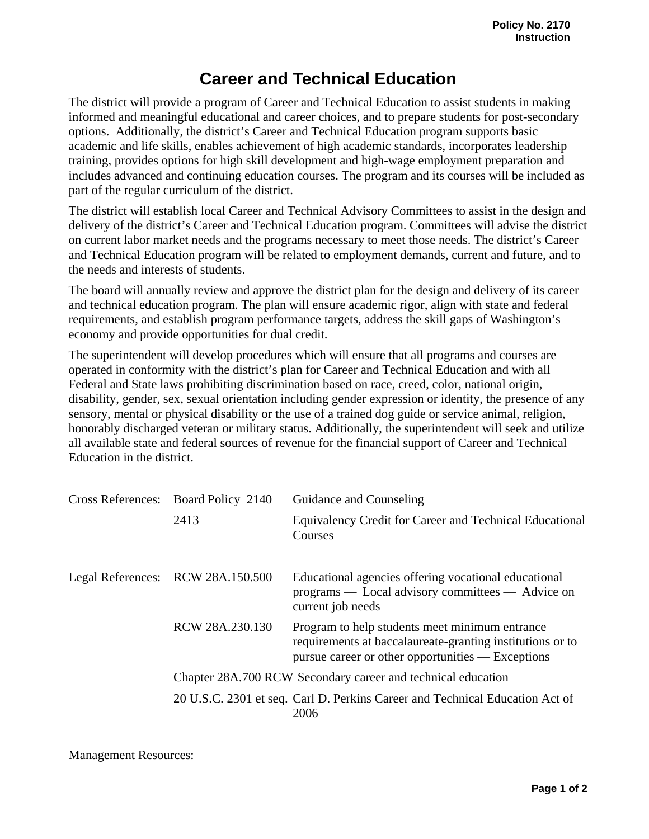## **Career and Technical Education**

The district will provide a program of Career and Technical Education to assist students in making informed and meaningful educational and career choices, and to prepare students for post-secondary options. Additionally, the district's Career and Technical Education program supports basic academic and life skills, enables achievement of high academic standards, incorporates leadership training, provides options for high skill development and high-wage employment preparation and includes advanced and continuing education courses. The program and its courses will be included as part of the regular curriculum of the district.

The district will establish local Career and Technical Advisory Committees to assist in the design and delivery of the district's Career and Technical Education program. Committees will advise the district on current labor market needs and the programs necessary to meet those needs. The district's Career and Technical Education program will be related to employment demands, current and future, and to the needs and interests of students.

The board will annually review and approve the district plan for the design and delivery of its career and technical education program. The plan will ensure academic rigor, align with state and federal requirements, and establish program performance targets, address the skill gaps of Washington's economy and provide opportunities for dual credit.

The superintendent will develop procedures which will ensure that all programs and courses are operated in conformity with the district's plan for Career and Technical Education and with all Federal and State laws prohibiting discrimination based on race, creed, color, national origin, disability, gender, sex, sexual orientation including gender expression or identity, the presence of any sensory, mental or physical disability or the use of a trained dog guide or service animal, religion, honorably discharged veteran or military status. Additionally, the superintendent will seek and utilize all available state and federal sources of revenue for the financial support of Career and Technical Education in the district.

|  | Cross References: Board Policy 2140 | Guidance and Counseling                                                                                                                                          |
|--|-------------------------------------|------------------------------------------------------------------------------------------------------------------------------------------------------------------|
|  | 2413                                | Equivalency Credit for Career and Technical Educational<br>Courses                                                                                               |
|  | Legal References: RCW 28A.150.500   | Educational agencies offering vocational educational<br>programs — Local advisory committees — Advice on<br>current job needs                                    |
|  | RCW 28A.230.130                     | Program to help students meet minimum entrance<br>requirements at baccalaureate-granting institutions or to<br>pursue career or other opportunities — Exceptions |
|  |                                     | Chapter 28A.700 RCW Secondary career and technical education                                                                                                     |
|  |                                     | 20 U.S.C. 2301 et seq. Carl D. Perkins Career and Technical Education Act of<br>2006                                                                             |

Management Resources: